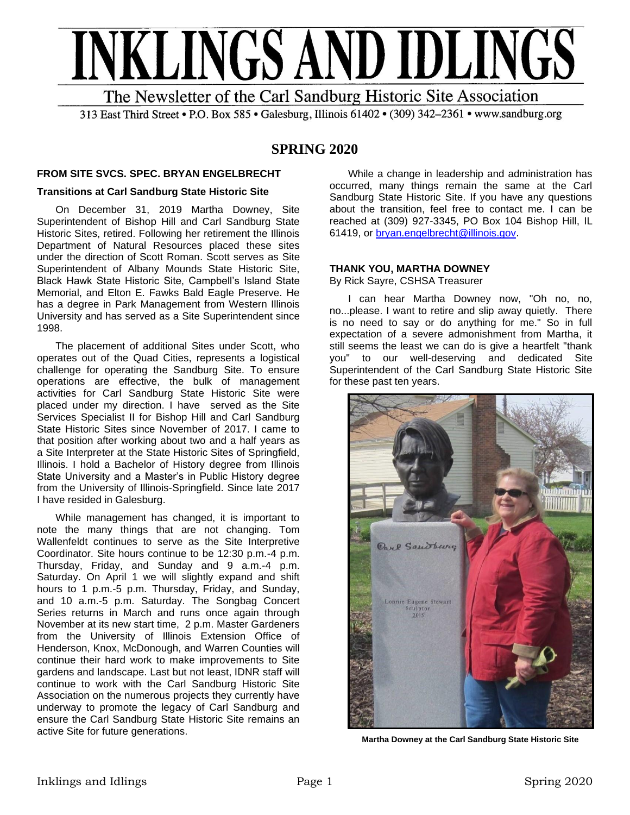

313 East Third Street • P.O. Box 585 • Galesburg, Illinois 61402 • (309) 342-2361 • www.sandburg.org

# **SPRING 2020**

### **FROM SITE SVCS. SPEC. BRYAN ENGELBRECHT**

### **Transitions at Carl Sandburg State Historic Site**

On December 31, 2019 Martha Downey, Site Superintendent of Bishop Hill and Carl Sandburg State Historic Sites, retired. Following her retirement the Illinois Department of Natural Resources placed these sites under the direction of Scott Roman. Scott serves as Site Superintendent of Albany Mounds State Historic Site, Black Hawk State Historic Site, Campbell's Island State Memorial, and Elton E. Fawks Bald Eagle Preserve. He has a degree in Park Management from Western Illinois University and has served as a Site Superintendent since 1998.

The placement of additional Sites under Scott, who operates out of the Quad Cities, represents a logistical challenge for operating the Sandburg Site. To ensure operations are effective, the bulk of management activities for Carl Sandburg State Historic Site were placed under my direction. I have served as the Site Services Specialist II for Bishop Hill and Carl Sandburg State Historic Sites since November of 2017. I came to that position after working about two and a half years as a Site Interpreter at the State Historic Sites of Springfield, Illinois. I hold a Bachelor of History degree from Illinois State University and a Master's in Public History degree from the University of Illinois-Springfield. Since late 2017 I have resided in Galesburg.

While management has changed, it is important to note the many things that are not changing. Tom Wallenfeldt continues to serve as the Site Interpretive Coordinator. Site hours continue to be 12:30 p.m.-4 p.m. Thursday, Friday, and Sunday and 9 a.m.-4 p.m. Saturday. On April 1 we will slightly expand and shift hours to 1 p.m.-5 p.m. Thursday, Friday, and Sunday, and 10 a.m.-5 p.m. Saturday. The Songbag Concert Series returns in March and runs once again through November at its new start time, 2 p.m. Master Gardeners from the University of Illinois Extension Office of Henderson, Knox, McDonough, and Warren Counties will continue their hard work to make improvements to Site gardens and landscape. Last but not least, IDNR staff will continue to work with the Carl Sandburg Historic Site Association on the numerous projects they currently have underway to promote the legacy of Carl Sandburg and ensure the Carl Sandburg State Historic Site remains an active Site for future generations.

While a change in leadership and administration has occurred, many things remain the same at the Carl Sandburg State Historic Site. If you have any questions about the transition, feel free to contact me. I can be reached at (309) 927-3345, PO Box 104 Bishop Hill, IL 61419, or [bryan.engelbrecht@illinois.gov.](mailto:bryan.engelbrecht@illinois.gov)

### **THANK YOU, MARTHA DOWNEY**

By Rick Sayre, CSHSA Treasurer

I can hear Martha Downey now, "Oh no, no, no...please. I want to retire and slip away quietly. There is no need to say or do anything for me." So in full expectation of a severe admonishment from Martha, it still seems the least we can do is give a heartfelt "thank you" to our well-deserving and dedicated Site Superintendent of the Carl Sandburg State Historic Site for these past ten years.



**Martha Downey at the Carl Sandburg State Historic Site**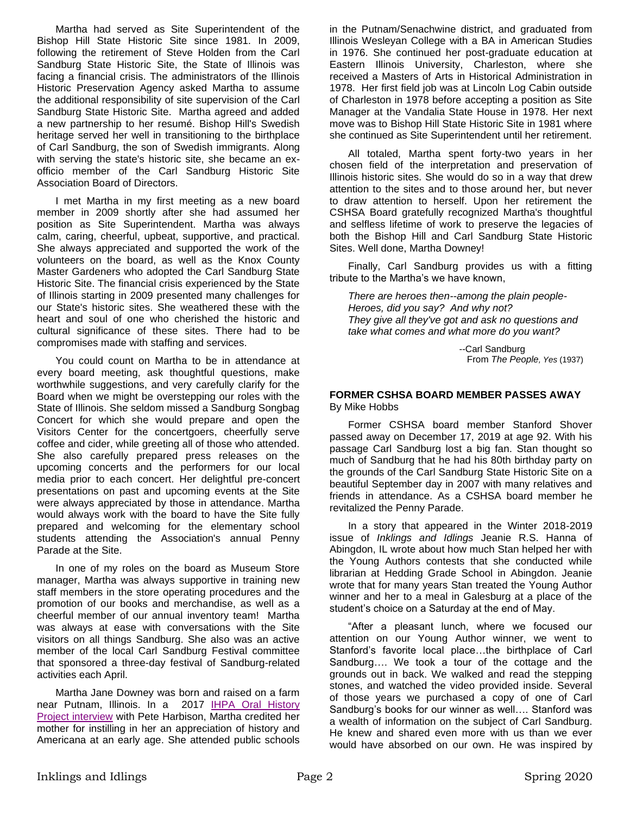Martha had served as Site Superintendent of the Bishop Hill State Historic Site since 1981. In 2009, following the retirement of Steve Holden from the Carl Sandburg State Historic Site, the State of Illinois was facing a financial crisis. The administrators of the Illinois Historic Preservation Agency asked Martha to assume the additional responsibility of site supervision of the Carl Sandburg State Historic Site. Martha agreed and added a new partnership to her resumé. Bishop Hill's Swedish heritage served her well in transitioning to the birthplace of Carl Sandburg, the son of Swedish immigrants. Along with serving the state's historic site, she became an exofficio member of the Carl Sandburg Historic Site Association Board of Directors.

I met Martha in my first meeting as a new board member in 2009 shortly after she had assumed her position as Site Superintendent. Martha was always calm, caring, cheerful, upbeat, supportive, and practical. She always appreciated and supported the work of the volunteers on the board, as well as the Knox County Master Gardeners who adopted the Carl Sandburg State Historic Site. The financial crisis experienced by the State of Illinois starting in 2009 presented many challenges for our State's historic sites. She weathered these with the heart and soul of one who cherished the historic and cultural significance of these sites. There had to be compromises made with staffing and services.

You could count on Martha to be in attendance at every board meeting, ask thoughtful questions, make worthwhile suggestions, and very carefully clarify for the Board when we might be overstepping our roles with the State of Illinois. She seldom missed a Sandburg Songbag Concert for which she would prepare and open the Visitors Center for the concertgoers, cheerfully serve coffee and cider, while greeting all of those who attended. She also carefully prepared press releases on the upcoming concerts and the performers for our local media prior to each concert. Her delightful pre-concert presentations on past and upcoming events at the Site were always appreciated by those in attendance. Martha would always work with the board to have the Site fully prepared and welcoming for the elementary school students attending the Association's annual Penny Parade at the Site.

In one of my roles on the board as Museum Store manager, Martha was always supportive in training new staff members in the store operating procedures and the promotion of our books and merchandise, as well as a cheerful member of our annual inventory team! Martha was always at ease with conversations with the Site visitors on all things Sandburg. She also was an active member of the local Carl Sandburg Festival committee that sponsored a three-day festival of Sandburg-related activities each April.

Martha Jane Downey was born and raised on a farm near Putnam, Illinois. In a 2017 [IHPA Oral History](https://www2.illinois.gov/alplm/library/collections/OralHistory/Organizations%20and%20Agencies/ihpalegacy/Pages/Downey,-Martha-Jane.aspx)  [Project interview](https://www2.illinois.gov/alplm/library/collections/OralHistory/Organizations%20and%20Agencies/ihpalegacy/Pages/Downey,-Martha-Jane.aspx) with Pete Harbison, Martha credited her mother for instilling in her an appreciation of history and Americana at an early age. She attended public schools

in the Putnam/Senachwine district, and graduated from Illinois Wesleyan College with a BA in American Studies in 1976. She continued her post-graduate education at Eastern Illinois University, Charleston, where she received a Masters of Arts in Historical Administration in 1978. Her first field job was at Lincoln Log Cabin outside of Charleston in 1978 before accepting a position as Site Manager at the Vandalia State House in 1978. Her next move was to Bishop Hill State Historic Site in 1981 where she continued as Site Superintendent until her retirement.

All totaled, Martha spent forty-two years in her chosen field of the interpretation and preservation of Illinois historic sites. She would do so in a way that drew attention to the sites and to those around her, but never to draw attention to herself. Upon her retirement the CSHSA Board gratefully recognized Martha's thoughtful and selfless lifetime of work to preserve the legacies of both the Bishop Hill and Carl Sandburg State Historic Sites. Well done, Martha Downey!

Finally, Carl Sandburg provides us with a fitting tribute to the Martha's we have known,

*There are heroes then--among the plain people-Heroes, did you say? And why not? They give all they've got and ask no questions and take what comes and what more do you want?*

> --Carl Sandburg From *The People, Yes* (1937)

### **FORMER CSHSA BOARD MEMBER PASSES AWAY**  By Mike Hobbs

Former CSHSA board member Stanford Shover passed away on December 17, 2019 at age 92. With his passage Carl Sandburg lost a big fan. Stan thought so much of Sandburg that he had his 80th birthday party on the grounds of the Carl Sandburg State Historic Site on a beautiful September day in 2007 with many relatives and friends in attendance. As a CSHSA board member he revitalized the Penny Parade.

In a story that appeared in the Winter 2018-2019 issue of *Inklings and Idlings* Jeanie R.S. Hanna of Abingdon, IL wrote about how much Stan helped her with the Young Authors contests that she conducted while librarian at Hedding Grade School in Abingdon. Jeanie wrote that for many years Stan treated the Young Author winner and her to a meal in Galesburg at a place of the student's choice on a Saturday at the end of May.

"After a pleasant lunch, where we focused our attention on our Young Author winner, we went to Stanford's favorite local place…the birthplace of Carl Sandburg…. We took a tour of the cottage and the grounds out in back. We walked and read the stepping stones, and watched the video provided inside. Several of those years we purchased a copy of one of Carl Sandburg's books for our winner as well…. Stanford was a wealth of information on the subject of Carl Sandburg. He knew and shared even more with us than we ever would have absorbed on our own. He was inspired by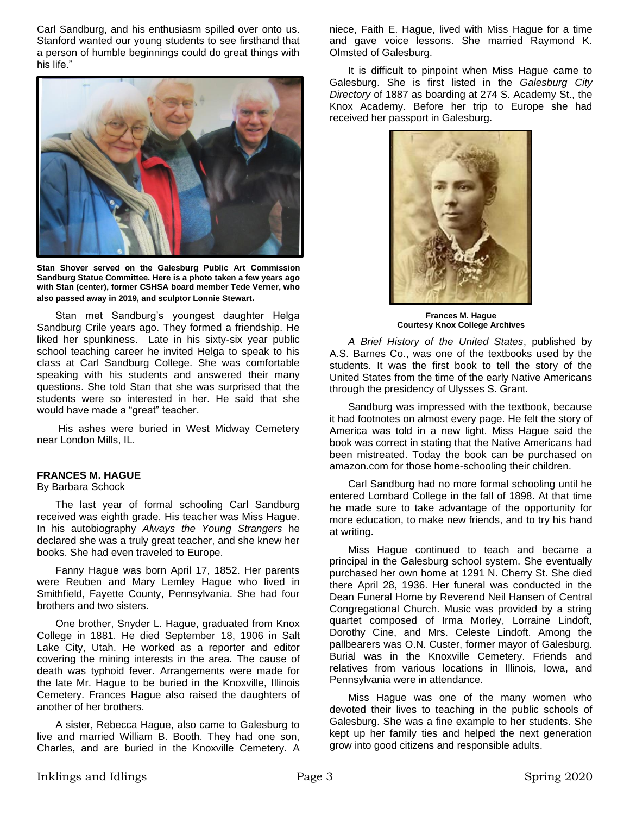Carl Sandburg, and his enthusiasm spilled over onto us. Stanford wanted our young students to see firsthand that a person of humble beginnings could do great things with his life."



**Stan Shover served on the Galesburg Public Art Commission Sandburg Statue Committee. Here is a photo taken a few years ago with Stan (center), former CSHSA board member Tede Verner, who also passed away in 2019, and sculptor Lonnie Stewart.**

Stan met Sandburg's youngest daughter Helga Sandburg Crile years ago. They formed a friendship. He liked her spunkiness. Late in his sixty-six year public school teaching career he invited Helga to speak to his class at Carl Sandburg College. She was comfortable speaking with his students and answered their many questions. She told Stan that she was surprised that the students were so interested in her. He said that she would have made a "great" teacher.

His ashes were buried in West Midway Cemetery near London Mills, IL.

#### **FRANCES M. HAGUE**

#### By Barbara Schock

The last year of formal schooling Carl Sandburg received was eighth grade. His teacher was Miss Hague. In his autobiography *Always the Young Strangers* he declared she was a truly great teacher, and she knew her books. She had even traveled to Europe.

Fanny Hague was born April 17, 1852. Her parents were Reuben and Mary Lemley Hague who lived in Smithfield, Fayette County, Pennsylvania. She had four brothers and two sisters.

One brother, Snyder L. Hague, graduated from Knox College in 1881. He died September 18, 1906 in Salt Lake City, Utah. He worked as a reporter and editor covering the mining interests in the area. The cause of death was typhoid fever. Arrangements were made for the late Mr. Hague to be buried in the Knoxville, Illinois Cemetery. Frances Hague also raised the daughters of another of her brothers.

A sister, Rebecca Hague, also came to Galesburg to live and married William B. Booth. They had one son, Charles, and are buried in the Knoxville Cemetery. A niece, Faith E. Hague, lived with Miss Hague for a time and gave voice lessons. She married Raymond K. Olmsted of Galesburg.

It is difficult to pinpoint when Miss Hague came to Galesburg. She is first listed in the *Galesburg City Directory* of 1887 as boarding at 274 S. Academy St., the Knox Academy. Before her trip to Europe she had received her passport in Galesburg.



**Frances M. Hague Courtesy Knox College Archives**

*A Brief History of the United States*, published by A.S. Barnes Co., was one of the textbooks used by the students. It was the first book to tell the story of the United States from the time of the early Native Americans through the presidency of Ulysses S. Grant.

Sandburg was impressed with the textbook, because it had footnotes on almost every page. He felt the story of America was told in a new light. Miss Hague said the book was correct in stating that the Native Americans had been mistreated. Today the book can be purchased on amazon.com for those home-schooling their children.

Carl Sandburg had no more formal schooling until he entered Lombard College in the fall of 1898. At that time he made sure to take advantage of the opportunity for more education, to make new friends, and to try his hand at writing.

Miss Hague continued to teach and became a principal in the Galesburg school system. She eventually purchased her own home at 1291 N. Cherry St. She died there April 28, 1936. Her funeral was conducted in the Dean Funeral Home by Reverend Neil Hansen of Central Congregational Church. Music was provided by a string quartet composed of Irma Morley, Lorraine Lindoft, Dorothy Cine, and Mrs. Celeste Lindoft. Among the pallbearers was O.N. Custer, former mayor of Galesburg. Burial was in the Knoxville Cemetery. Friends and relatives from various locations in Illinois, Iowa, and Pennsylvania were in attendance.

Miss Hague was one of the many women who devoted their lives to teaching in the public schools of Galesburg. She was a fine example to her students. She kept up her family ties and helped the next generation grow into good citizens and responsible adults.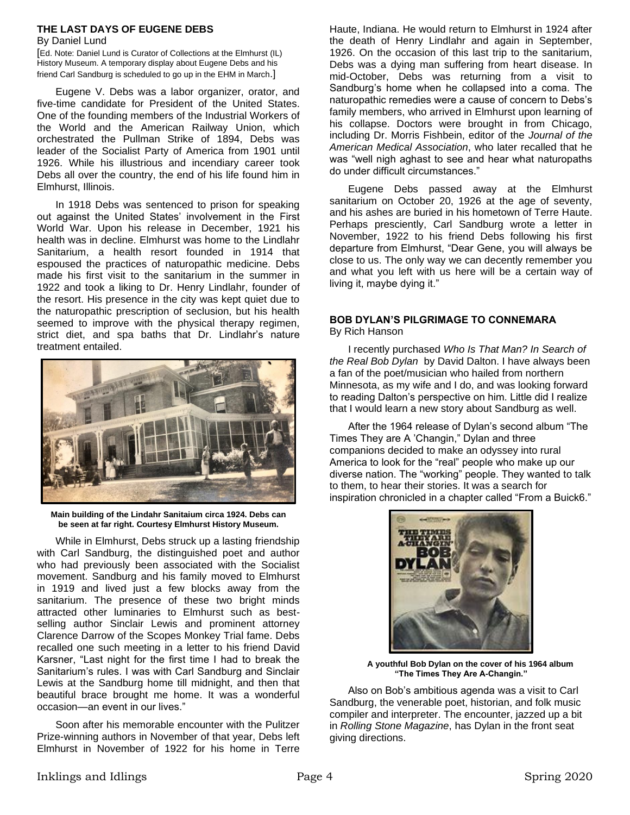## **THE LAST DAYS OF EUGENE DEBS**

### By Daniel Lund

[Ed. Note: Daniel Lund is Curator of Collections at the Elmhurst (IL) History Museum. A temporary display about Eugene Debs and his friend Carl Sandburg is scheduled to go up in the EHM in March.]

Eugene V. Debs was a labor organizer, orator, and five-time candidate for President of the United States. One of the founding members of the Industrial Workers of the World and the American Railway Union, which orchestrated the Pullman Strike of 1894, Debs was leader of the Socialist Party of America from 1901 until 1926. While his illustrious and incendiary career took Debs all over the country, the end of his life found him in Elmhurst, Illinois.

In 1918 Debs was sentenced to prison for speaking out against the United States' involvement in the First World War. Upon his release in December, 1921 his health was in decline. Elmhurst was home to the Lindlahr Sanitarium, a health resort founded in 1914 that espoused the practices of naturopathic medicine. Debs made his first visit to the sanitarium in the summer in 1922 and took a liking to Dr. Henry Lindlahr, founder of the resort. His presence in the city was kept quiet due to the naturopathic prescription of seclusion, but his health seemed to improve with the physical therapy regimen, strict diet, and spa baths that Dr. Lindlahr's nature treatment entailed.



**Main building of the Lindahr Sanitaium circa 1924. Debs can be seen at far right. Courtesy Elmhurst History Museum.**

While in Elmhurst, Debs struck up a lasting friendship with Carl Sandburg, the distinguished poet and author who had previously been associated with the Socialist movement. Sandburg and his family moved to Elmhurst in 1919 and lived just a few blocks away from the sanitarium. The presence of these two bright minds attracted other luminaries to Elmhurst such as bestselling author Sinclair Lewis and prominent attorney Clarence Darrow of the Scopes Monkey Trial fame. Debs recalled one such meeting in a letter to his friend David Karsner, "Last night for the first time I had to break the Sanitarium's rules. I was with Carl Sandburg and Sinclair Lewis at the Sandburg home till midnight, and then that beautiful brace brought me home. It was a wonderful occasion—an event in our lives."

Soon after his memorable encounter with the Pulitzer Prize-winning authors in November of that year, Debs left Elmhurst in November of 1922 for his home in Terre

Haute, Indiana. He would return to Elmhurst in 1924 after the death of Henry Lindlahr and again in September, 1926. On the occasion of this last trip to the sanitarium, Debs was a dying man suffering from heart disease. In mid-October, Debs was returning from a visit to Sandburg's home when he collapsed into a coma. The naturopathic remedies were a cause of concern to Debs's family members, who arrived in Elmhurst upon learning of his collapse. Doctors were brought in from Chicago, including Dr. Morris Fishbein, editor of the *Journal of the American Medical Association*, who later recalled that he was "well nigh aghast to see and hear what naturopaths do under difficult circumstances."

Eugene Debs passed away at the Elmhurst sanitarium on October 20, 1926 at the age of seventy, and his ashes are buried in his hometown of Terre Haute. Perhaps presciently, Carl Sandburg wrote a letter in November, 1922 to his friend Debs following his first departure from Elmhurst, "Dear Gene, you will always be close to us. The only way we can decently remember you and what you left with us here will be a certain way of living it, maybe dying it."

#### **BOB DYLAN'S PILGRIMAGE TO CONNEMARA** By Rich Hanson

I recently purchased *Who Is That Man? In Search of the Real Bob Dylan* by David Dalton. I have always been a fan of the poet/musician who hailed from northern Minnesota, as my wife and I do, and was looking forward to reading Dalton's perspective on him. Little did I realize that I would learn a new story about Sandburg as well.

After the 1964 release of Dylan's second album "The Times They are A 'Changin," Dylan and three companions decided to make an odyssey into rural America to look for the "real" people who make up our diverse nation. The "working" people. They wanted to talk to them, to hear their stories. It was a search for inspiration chronicled in a chapter called "From a Buick6."



**A youthful Bob Dylan on the cover of his 1964 album "The Times They Are A-Changin."**

Also on Bob's ambitious agenda was a visit to Carl Sandburg, the venerable poet, historian, and folk music compiler and interpreter. The encounter, jazzed up a bit in *Rolling Stone Magazine*, has Dylan in the front seat giving directions.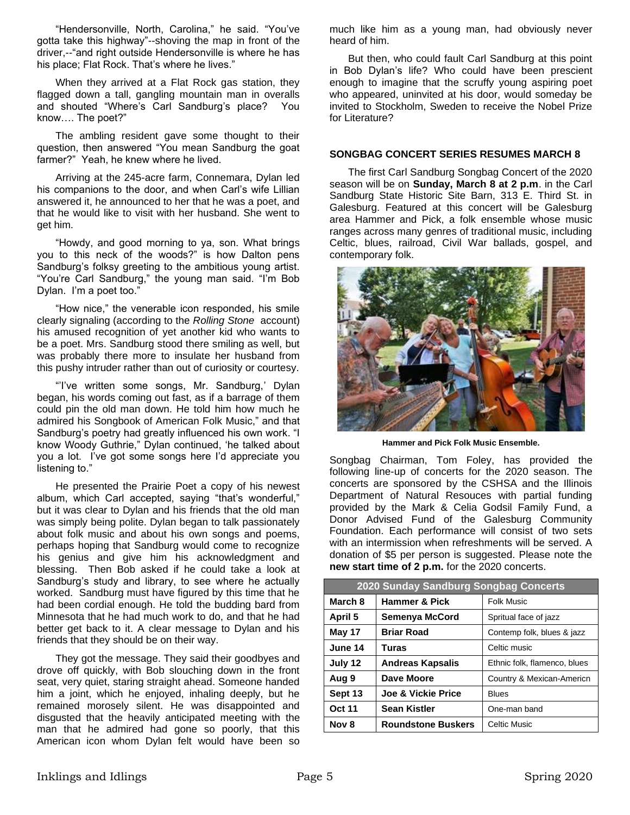"Hendersonville, North, Carolina," he said. "You've gotta take this highway"--shoving the map in front of the driver,--"and right outside Hendersonville is where he has his place; Flat Rock. That's where he lives."

When they arrived at a Flat Rock gas station, they flagged down a tall, gangling mountain man in overalls and shouted "Where's Carl Sandburg's place? You know…. The poet?"

The ambling resident gave some thought to their question, then answered "You mean Sandburg the goat farmer?" Yeah, he knew where he lived.

Arriving at the 245-acre farm, Connemara, Dylan led his companions to the door, and when Carl's wife Lillian answered it, he announced to her that he was a poet, and that he would like to visit with her husband. She went to get him.

"Howdy, and good morning to ya, son. What brings you to this neck of the woods?" is how Dalton pens Sandburg's folksy greeting to the ambitious young artist. "You're Carl Sandburg," the young man said. "I'm Bob Dylan. I'm a poet too."

"How nice," the venerable icon responded, his smile clearly signaling (according to the *Rolling Stone* account) his amused recognition of yet another kid who wants to be a poet. Mrs. Sandburg stood there smiling as well, but was probably there more to insulate her husband from this pushy intruder rather than out of curiosity or courtesy.

"'I've written some songs, Mr. Sandburg,' Dylan began, his words coming out fast, as if a barrage of them could pin the old man down. He told him how much he admired his Songbook of American Folk Music," and that Sandburg's poetry had greatly influenced his own work. "I know Woody Guthrie," Dylan continued, 'he talked about you a lot. I've got some songs here I'd appreciate you listening to."

He presented the Prairie Poet a copy of his newest album, which Carl accepted, saying "that's wonderful," but it was clear to Dylan and his friends that the old man was simply being polite. Dylan began to talk passionately about folk music and about his own songs and poems, perhaps hoping that Sandburg would come to recognize his genius and give him his acknowledgment and blessing. Then Bob asked if he could take a look at Sandburg's study and library, to see where he actually worked. Sandburg must have figured by this time that he had been cordial enough. He told the budding bard from Minnesota that he had much work to do, and that he had better get back to it. A clear message to Dylan and his friends that they should be on their way.

They got the message. They said their goodbyes and drove off quickly, with Bob slouching down in the front seat, very quiet, staring straight ahead. Someone handed him a joint, which he enjoyed, inhaling deeply, but he remained morosely silent. He was disappointed and disgusted that the heavily anticipated meeting with the man that he admired had gone so poorly, that this American icon whom Dylan felt would have been so

much like him as a young man, had obviously never heard of him.

But then, who could fault Carl Sandburg at this point in Bob Dylan's life? Who could have been prescient enough to imagine that the scruffy young aspiring poet who appeared, uninvited at his door, would someday be invited to Stockholm, Sweden to receive the Nobel Prize for Literature?

### **SONGBAG CONCERT SERIES RESUMES MARCH 8**

The first Carl Sandburg Songbag Concert of the 2020 season will be on **Sunday, March 8 at 2 p.m**. in the Carl Sandburg State Historic Site Barn, 313 E. Third St. in Galesburg. Featured at this concert will be Galesburg area Hammer and Pick, a folk ensemble whose music ranges across many genres of traditional music, including Celtic, blues, railroad, Civil War ballads, gospel, and contemporary folk.



**Hammer and Pick Folk Music Ensemble.**

Songbag Chairman, Tom Foley, has provided the following line-up of concerts for the 2020 season. The concerts are sponsored by the CSHSA and the Illinois Department of Natural Resouces with partial funding provided by the Mark & Celia Godsil Family Fund, a Donor Advised Fund of the Galesburg Community Foundation. Each performance will consist of two sets with an intermission when refreshments will be served. A donation of \$5 per person is suggested. Please note the **new start time of 2 p.m.** for the 2020 concerts.

| 2020 Sunday Sandburg Songbag Concerts |                               |                              |
|---------------------------------------|-------------------------------|------------------------------|
| March 8                               | <b>Hammer &amp; Pick</b>      | <b>Folk Music</b>            |
| April 5                               | Semenya McCord                | Spritual face of jazz        |
| May 17                                | <b>Briar Road</b>             | Contemp folk, blues & jazz   |
| June 14                               | Turas                         | Celtic music                 |
| July 12                               | <b>Andreas Kapsalis</b>       | Ethnic folk, flamenco, blues |
| Aug 9                                 | Dave Moore                    | Country & Mexican-Americn    |
| Sept 13                               | <b>Joe &amp; Vickie Price</b> | <b>Blues</b>                 |
| <b>Oct 11</b>                         | <b>Sean Kistler</b>           | One-man band                 |
| Nov 8                                 | <b>Roundstone Buskers</b>     | Celtic Music                 |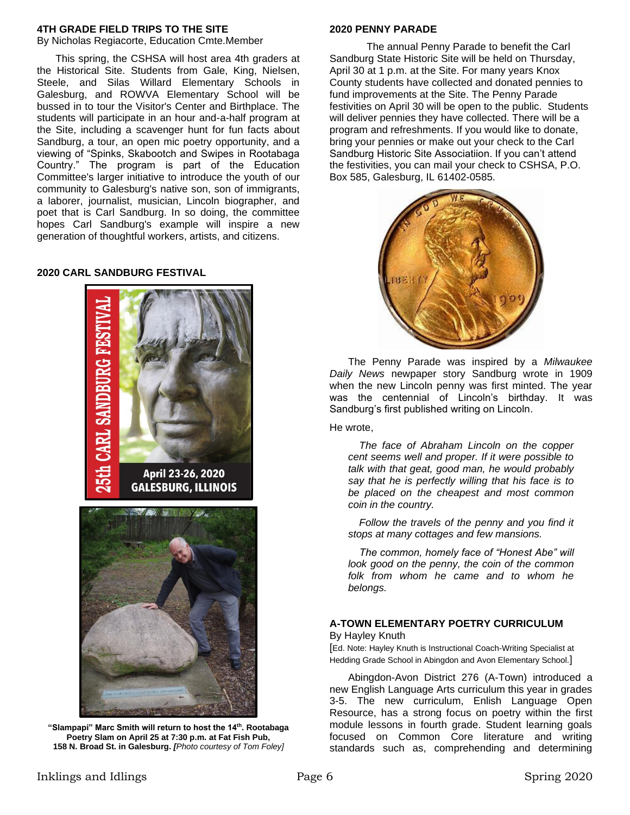### **4TH GRADE FIELD TRIPS TO THE SITE**

By Nicholas Regiacorte, Education Cmte.Member

This spring, the CSHSA will host area 4th graders at the Historical Site. Students from Gale, King, Nielsen, Steele, and Silas Willard Elementary Schools in Galesburg, and ROWVA Elementary School will be bussed in to tour the Visitor's Center and Birthplace. The students will participate in an hour and-a-half program at the Site, including a scavenger hunt for fun facts about Sandburg, a tour, an open mic poetry opportunity, and a viewing of "Spinks, Skabootch and Swipes in Rootabaga Country." The program is part of the Education Committee's larger initiative to introduce the youth of our community to Galesburg's native son, son of immigrants, a laborer, journalist, musician, Lincoln biographer, and poet that is Carl Sandburg. In so doing, the committee hopes Carl Sandburg's example will inspire a new generation of thoughtful workers, artists, and citizens.

### **2020 CARL SANDBURG FESTIVAL**



**"Slampapi" Marc Smith will return to host the 14th. Rootabaga Poetry Slam on April 25 at 7:30 p.m. at Fat Fish Pub, 158 N. Broad St. in Galesburg.** *[Photo courtesy of Tom Foley]*

#### **2020 PENNY PARADE**

The annual Penny Parade to benefit the Carl Sandburg State Historic Site will be held on Thursday, April 30 at 1 p.m. at the Site. For many years Knox County students have collected and donated pennies to fund improvements at the Site. The Penny Parade festivities on April 30 will be open to the public. Students will deliver pennies they have collected. There will be a program and refreshments. If you would like to donate, bring your pennies or make out your check to the Carl Sandburg Historic Site Associatiion. If you can't attend the festivities, you can mail your check to CSHSA, P.O. Box 585, Galesburg, IL 61402-0585.



The Penny Parade was inspired by a *Milwaukee Daily News* newpaper story Sandburg wrote in 1909 when the new Lincoln penny was first minted. The year was the centennial of Lincoln's birthday. It was Sandburg's first published writing on Lincoln.

He wrote,

*The face of Abraham Lincoln on the copper cent seems well and proper. If it were possible to talk with that geat, good man, he would probably say that he is perfectly willing that his face is to be placed on the cheapest and most common coin in the country.*

*Follow the travels of the penny and you find it stops at many cottages and few mansions.*

*The common, homely face of "Honest Abe" will look good on the penny, the coin of the common folk from whom he came and to whom he belongs.*

# **A-TOWN ELEMENTARY POETRY CURRICULUM**

By Hayley Knuth

[Ed. Note: Hayley Knuth is Instructional Coach-Writing Specialist at Hedding Grade School in Abingdon and Avon Elementary School.]

Abingdon-Avon District 276 (A-Town) introduced a new English Language Arts curriculum this year in grades 3-5. The new curriculum, Enlish Language Open Resource, has a strong focus on poetry within the first module lessons in fourth grade. Student learning goals focused on Common Core literature and writing standards such as, comprehending and determining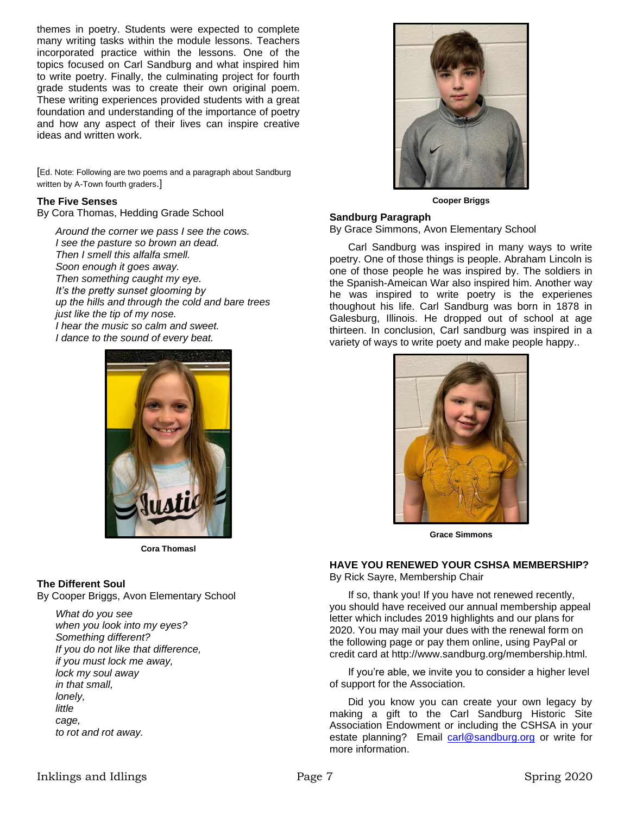themes in poetry. Students were expected to complete many writing tasks within the module lessons. Teachers incorporated practice within the lessons. One of the topics focused on Carl Sandburg and what inspired him to write poetry. Finally, the culminating project for fourth grade students was to create their own original poem. These writing experiences provided students with a great foundation and understanding of the importance of poetry and how any aspect of their lives can inspire creative ideas and written work.

[Ed. Note: Following are two poems and a paragraph about Sandburg written by A-Town fourth graders.]

### **The Five Senses**

By Cora Thomas, Hedding Grade School

*Around the corner we pass I see the cows. I see the pasture so brown an dead. Then I smell this alfalfa smell. Soon enough it goes away. Then something caught my eye. It's the pretty sunset glooming by up the hills and through the cold and bare trees just like the tip of my nose. I hear the music so calm and sweet. I dance to the sound of every beat.*



**Cora Thomasl**

### **The Different Soul**

By Cooper Briggs, Avon Elementary School

*What do you see when you look into my eyes? Something different? If you do not like that difference, if you must lock me away, lock my soul away in that small, lonely, little cage, to rot and rot away.*



**Cooper Briggs**

### **Sandburg Paragraph**

By Grace Simmons, Avon Elementary School

Carl Sandburg was inspired in many ways to write poetry. One of those things is people. Abraham Lincoln is one of those people he was inspired by. The soldiers in the Spanish-Ameican War also inspired him. Another way he was inspired to write poetry is the experienes thoughout his life. Carl Sandburg was born in 1878 in Galesburg, Illinois. He dropped out of school at age thirteen. In conclusion, Carl sandburg was inspired in a variety of ways to write poety and make people happy..



**Grace Simmons**

#### **HAVE YOU RENEWED YOUR CSHSA MEMBERSHIP?** By Rick Sayre, Membership Chair

If so, thank you! If you have not renewed recently, you should have received our annual membership appeal letter which includes 2019 highlights and our plans for 2020. You may mail your dues with the renewal form on the following page or pay them online, using PayPal or credit card at http://www.sandburg.org/membership.html.

If you're able, we invite you to consider a higher level of support for the Association.

Did you know you can create your own legacy by making a gift to the Carl Sandburg Historic Site Association Endowment or including the CSHSA in your estate planning? Email [carl@sandburg.org](mailto:carl@sandburg.org) or write for more information.